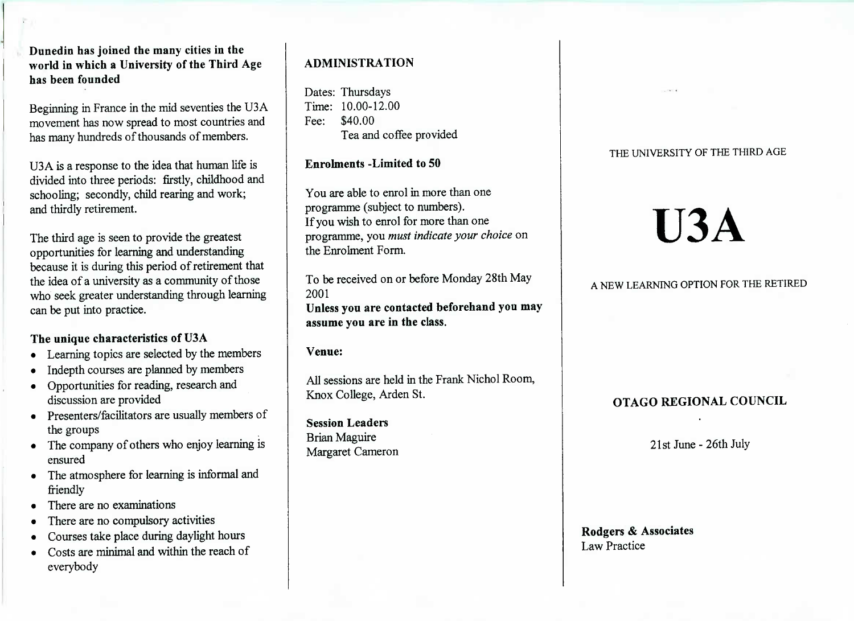**Dunedin has joined the many cities in the world in which a University of the Third Agehas been founded**

Beginning in France in the mid seventies the U3A movement has now spread to most countries andhas many hundreds of thousands of members.

USA is a response to the idea that human life islivided into three periods: firstly, childhood and schooling; secondly, child rearing and work;and thirdly retirement.

The third age is seen to provide the greatest opportunities for learning and understanding because it is during this period of retirement thatthe idea of a university as a community of those who seek greater understanding through learningcan be put into practice.

## **The unique characteristics of U3A**

- Learning topics are selected by the members
- Indepth courses are planned by members
- Opportunities for reading, research anddiscussion are provided
- Presenters/facilitators are usually members ofthe groups
- The company of others who enjoy learning isensured
- The atmosphere for learning is informal andfriendly
- There are no examinations
- There are no compulsory activities
- Courses take place during daylight hours
- Costs are minimal and within the reach ofeverybody

# **ADMINISTRATION**

Dates: Thursdays Time: 10.00-12.00Fee: \$40.00Lea and coffee provided

**Enrolments -Limited to 50**

You are able to enrol in more than oneprogramme (subject to numbers). If you wish to enrol for more than one programme, you *must indicate your choice* onthe Enrolment Form.

To be received on or before Monday 28th May2001 **Unless you are contacted beforehand you mayassume you are in the class.**

**Venue:**

All sessions are held in the Frank Nichol Room,Knox College, Arden St.

**Session Leaders**Brian MaguireMargaret Cameron

## THE UNIVERSITY OF THE THIRD AGE

# **U3A**

A NEW LEARNING OPTION FOR THE RETIRED

## **OTAGO REGIONAL COUNCIL**

21st June-26th July

**Rodgers & Associates**Law Practice